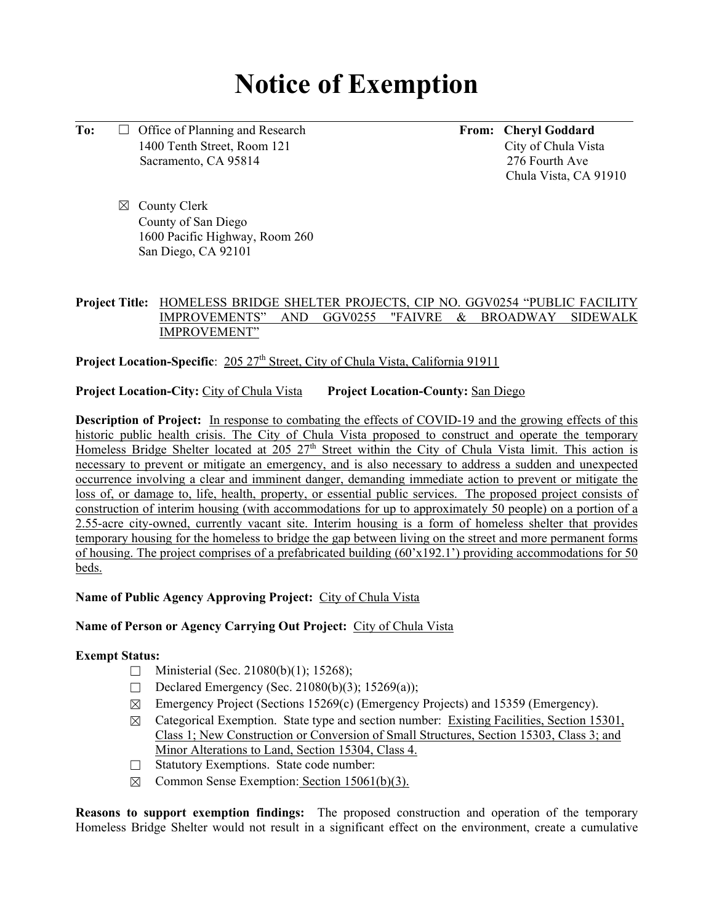# **Notice of Exemption**

**To:** □ Office of Planning and Research **From:** Cheryl Goddard 1400 Tenth Street, Room 121City of Chula Vista Sacramento, CA 95814276 Fourth Ave

Chula Vista, CA 91910

☒ County Clerk County of San Diego 1600 Pacific Highway, Room 260 San Diego, CA 92101

## **Project Title:** HOMELESS BRIDGE SHELTER PROJECTS, CIP NO. GGV0254 "PUBLIC FACILITY IMPROVEMENTS" AND GGV0255 "FAIVRE & BROADWAY SIDEWALK IMPROVEMENT"

**Project Location-Specific**: 205 27<sup>th</sup> Street, City of Chula Vista, California 91911

**Project Location-City:** City of Chula Vista **Project Location-County:** San Diego

**Description of Project:** In response to combating the effects of COVID-19 and the growing effects of this historic public health crisis. The City of Chula Vista proposed to construct and operate the temporary Homeless Bridge Shelter located at 205 27<sup>th</sup> Street within the City of Chula Vista limit. This action is necessary to prevent or mitigate an emergency, and is also necessary to address a sudden and unexpected occurrence involving a clear and imminent danger, demanding immediate action to prevent or mitigate the loss of, or damage to, life, health, property, or essential public services. The proposed project consists of construction of interim housing (with accommodations for up to approximately 50 people) on a portion of a 2.55-acre city-owned, currently vacant site. Interim housing is a form of homeless shelter that provides temporary housing for the homeless to bridge the gap between living on the street and more permanent forms of housing. The project comprises of a prefabricated building (60'x192.1') providing accommodations for 50 beds.

### **Name of Public Agency Approving Project:** City of Chula Vista

### **Name of Person or Agency Carrying Out Project:** City of Chula Vista

### **Exempt Status:**

- $\Box$  Ministerial (Sec. 21080(b)(1); 15268);
- Declared Emergency (Sec. 21080(b)(3); 15269(a));
- ☒ Emergency Project (Sections 15269(c) (Emergency Projects) and 15359 (Emergency).
- $\boxtimes$  Categorical Exemption. State type and section number: Existing Facilities, Section 15301, Class 1; New Construction or Conversion of Small Structures, Section 15303, Class 3; and Minor Alterations to Land, Section 15304, Class 4.
- ☐ Statutory Exemptions. State code number:
- $\boxtimes$  Common Sense Exemption: Section 15061(b)(3).

**Reasons to support exemption findings:** The proposed construction and operation of the temporary Homeless Bridge Shelter would not result in a significant effect on the environment, create a cumulative